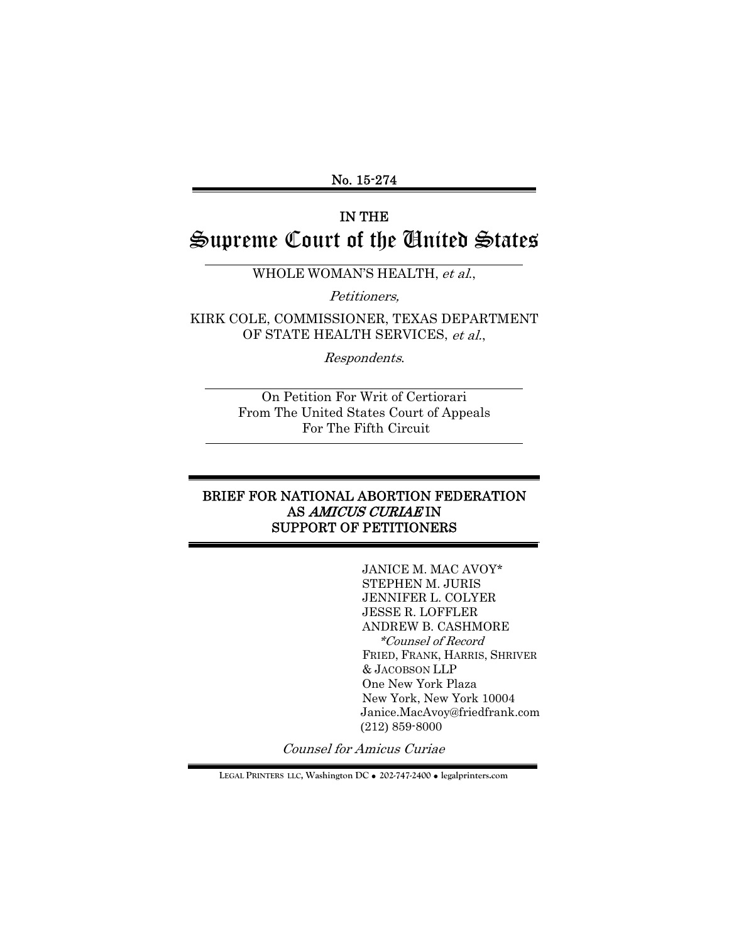#### No. 15-274

# IN THE Supreme Court of the United States

WHOLE WOMAN'S HEALTH, et al.,

Petitioners,

KIRK COLE, COMMISSIONER, TEXAS DEPARTMENT OF STATE HEALTH SERVICES, et al.,

Respondents.

On Petition For Writ of Certiorari From The United States Court of Appeals For The Fifth Circuit

#### BRIEF FOR NATIONAL ABORTION FEDERATION AS AMICUS CURIAE IN SUPPORT OF PETITIONERS

JANICE M. MAC AVOY\* STEPHEN M. JURIS JENNIFER L. COLYER JESSE R. LOFFLER ANDREW B. CASHMORE \*Counsel of Record FRIED, FRANK, HARRIS, SHRIVER & JACOBSON LLP One New York Plaza New York, New York 10004 Janice.MacAvoy@friedfrank.com (212) 859-8000

Counsel for Amicus Curiae

**LEGAL PRINTERS LLC, Washington DC** ! **202-747-2400** ! **legalprinters.com**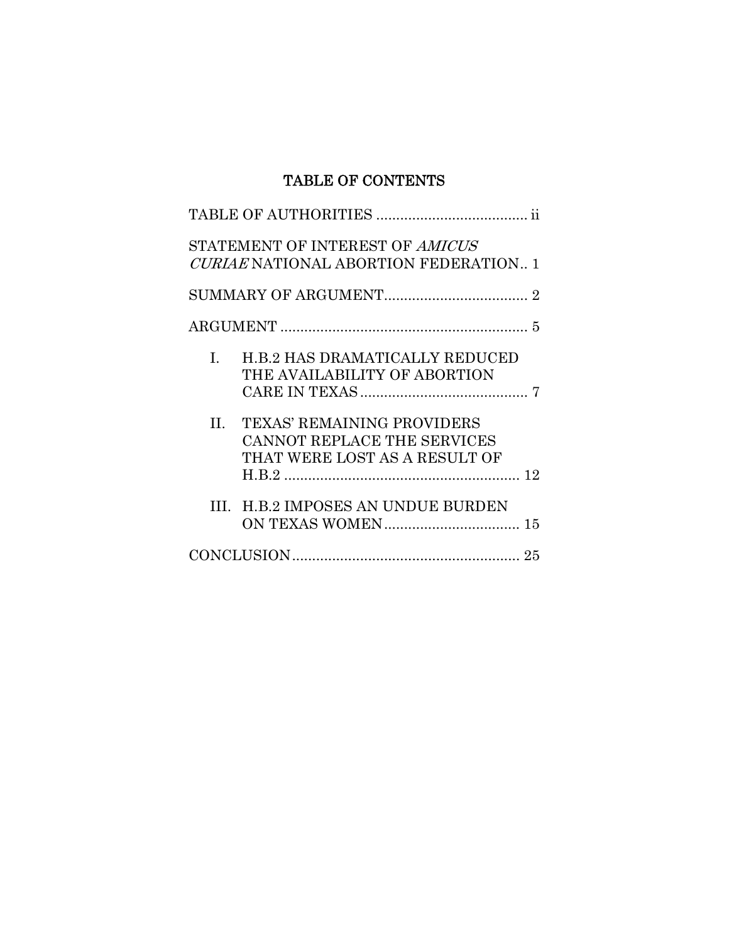## TABLE OF CONTENTS

|         | STATEMENT OF INTEREST OF AMICUS<br>CURIAE NATIONAL ABORTION FEDERATION 1                          |  |
|---------|---------------------------------------------------------------------------------------------------|--|
|         |                                                                                                   |  |
|         |                                                                                                   |  |
| I.      | <b>H.B.2 HAS DRAMATICALLY REDUCED</b><br>THE AVAILABILITY OF ABORTION                             |  |
| $\Pi$ . | <b>TEXAS' REMAINING PROVIDERS</b><br>CANNOT REPLACE THE SERVICES<br>THAT WERE LOST AS A RESULT OF |  |
| HL.     | <b>H.B.2 IMPOSES AN UNDUE BURDEN</b>                                                              |  |
|         |                                                                                                   |  |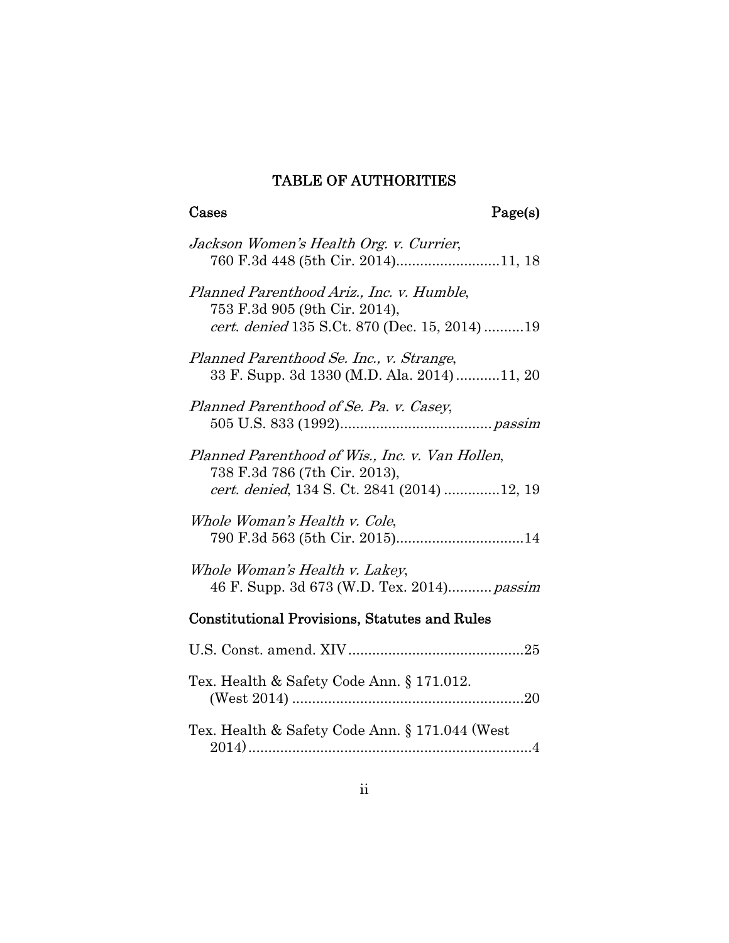# TABLE OF AUTHORITIES

 ${\bf Page}({\bf s})$ 

| Jackson Women's Health Org. v. Currier,<br>760 F.3d 448 (5th Cir. 2014)11, 18                                                           |
|-----------------------------------------------------------------------------------------------------------------------------------------|
| Planned Parenthood Ariz., Inc. v. Humble,<br>753 F.3d 905 (9th Cir. 2014),<br>cert. denied 135 S.Ct. 870 (Dec. 15, 2014)19              |
| Planned Parenthood Se. Inc., v. Strange,<br>33 F. Supp. 3d 1330 (M.D. Ala. 2014)11, 20                                                  |
| Planned Parenthood of Se. Pa. v. Casey,                                                                                                 |
| Planned Parenthood of Wis., Inc. v. Van Hollen,<br>738 F.3d 786 (7th Cir. 2013),<br><i>cert. denied</i> , 134 S. Ct. 2841 (2014) 12, 19 |
| Whole Woman's Health v. Cole,                                                                                                           |
| Whole Woman's Health v. Lakey,<br>46 F. Supp. 3d 673 (W.D. Tex. 2014) passim                                                            |
| <b>Constitutional Provisions, Statutes and Rules</b>                                                                                    |
|                                                                                                                                         |
| Tex. Health & Safety Code Ann. § 171.012.                                                                                               |
| Tex. Health & Safety Code Ann. § 171.044 (West                                                                                          |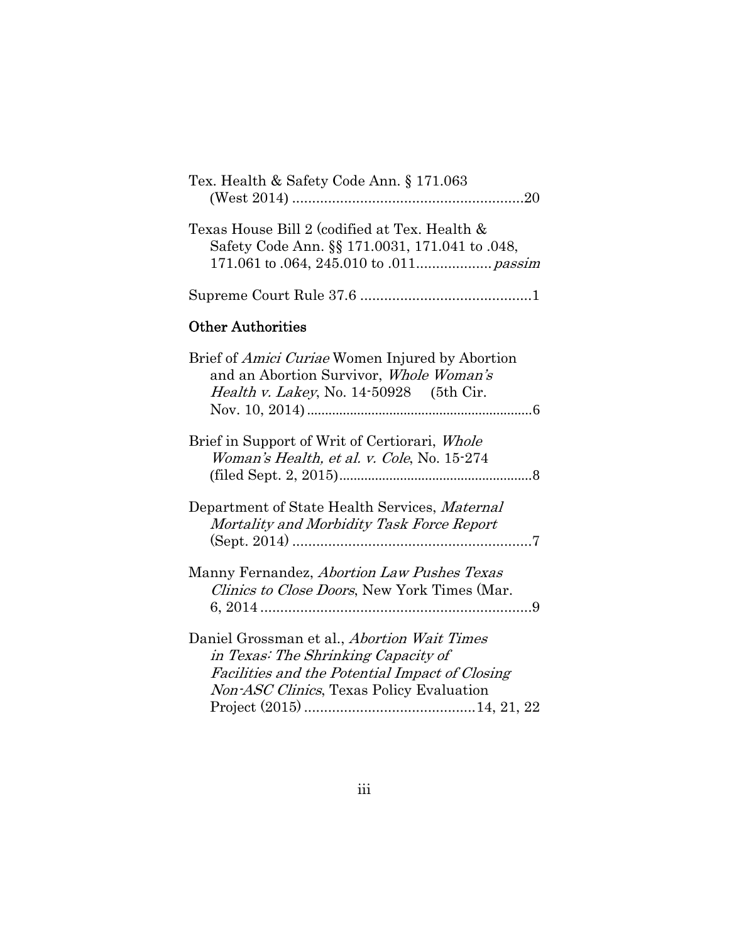| Tex. Health & Safety Code Ann. § 171.063                                                                                                                                                |
|-----------------------------------------------------------------------------------------------------------------------------------------------------------------------------------------|
| Texas House Bill 2 (codified at Tex. Health &<br>Safety Code Ann. §§ 171.0031, 171.041 to .048,                                                                                         |
|                                                                                                                                                                                         |
| <b>Other Authorities</b>                                                                                                                                                                |
| Brief of <i>Amici Curiae</i> Women Injured by Abortion<br>and an Abortion Survivor, Whole Woman's<br><i>Health v. Lakey</i> , No. 14-50928 (5th Cir.                                    |
| Brief in Support of Writ of Certiorari, Whole<br>Woman's Health, et al. v. Cole, No. 15-274                                                                                             |
| Department of State Health Services, Maternal<br>Mortality and Morbidity Task Force Report                                                                                              |
| Manny Fernandez, Abortion Law Pushes Texas<br><i>Clinics to Close Doors</i> , New York Times (Mar.                                                                                      |
| Daniel Grossman et al., <i>Abortion Wait Times</i><br>in Texas: The Shrinking Capacity of<br>Facilities and the Potential Impact of Closing<br>Non-ASC Clinics, Texas Policy Evaluation |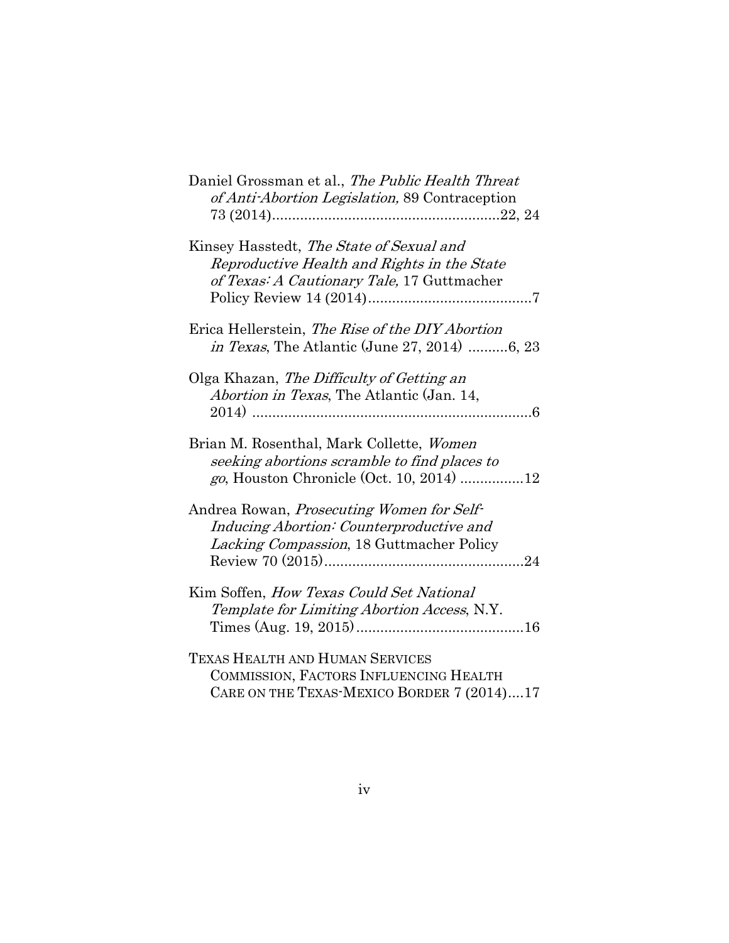| Daniel Grossman et al., The Public Health Threat<br>of Anti-Abortion Legislation, 89 Contraception                                           |
|----------------------------------------------------------------------------------------------------------------------------------------------|
| Kinsey Hasstedt, The State of Sexual and<br>Reproductive Health and Rights in the State<br>of Texas: A Cautionary Tale, 17 Guttmacher        |
| Erica Hellerstein, The Rise of the DIY Abortion<br><i>in Texas</i> , The Atlantic (June 27, 2014) 6, 23                                      |
| Olga Khazan, The Difficulty of Getting an<br>Abortion in Texas, The Atlantic (Jan. 14,                                                       |
| Brian M. Rosenthal, Mark Collette, Women<br>seeking abortions scramble to find places to<br><i>go</i> , Houston Chronicle (Oct. 10, 2014) 12 |
| Andrea Rowan, <i>Prosecuting Women for Self-</i><br>Inducing Abortion: Counterproductive and<br>Lacking Compassion, 18 Guttmacher Policy     |
| Kim Soffen, <i>How Texas Could Set National</i><br>Template for Limiting Abortion Access, N.Y.                                               |
| <b>TEXAS HEALTH AND HUMAN SERVICES</b><br>COMMISSION, FACTORS INFLUENCING HEALTH<br>CARE ON THE TEXAS-MEXICO BORDER 7 (2014)17               |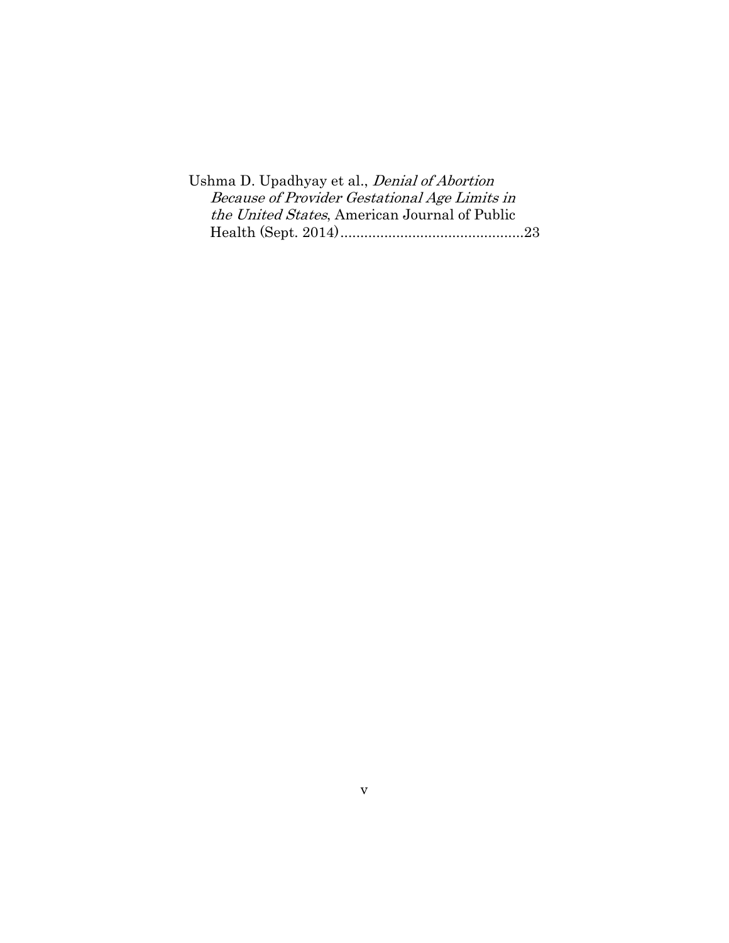Ushma D. Upadhyay et al., Denial of Abortion Because of Provider Gestational Age Limits in the United States, American Journal of Public Health (Sept. 2014) .............................................. 23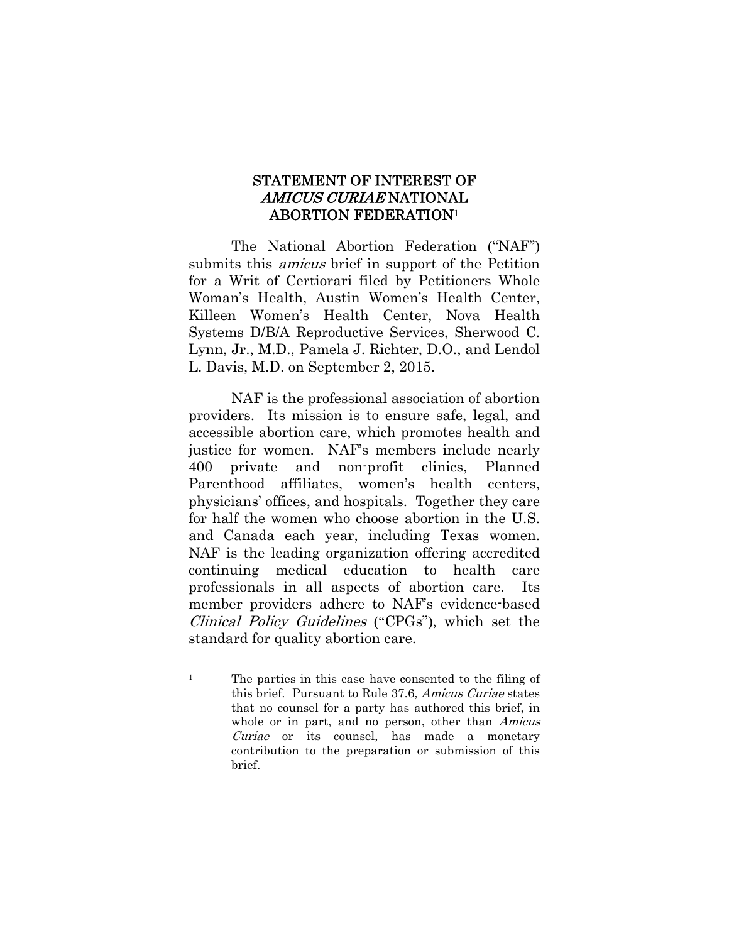#### STATEMENT OF INTEREST OF AMICUS CURIAE NATIONAL ABORTION FEDERATION1

The National Abortion Federation ("NAF") submits this *amicus* brief in support of the Petition for a Writ of Certiorari filed by Petitioners Whole Woman's Health, Austin Women's Health Center, Killeen Women's Health Center, Nova Health Systems D/B/A Reproductive Services, Sherwood C. Lynn, Jr., M.D., Pamela J. Richter, D.O., and Lendol L. Davis, M.D. on September 2, 2015.

NAF is the professional association of abortion providers. Its mission is to ensure safe, legal, and accessible abortion care, which promotes health and justice for women. NAF's members include nearly 400 private and non-profit clinics, Planned Parenthood affiliates, women's health centers, physicians' offices, and hospitals. Together they care for half the women who choose abortion in the U.S. and Canada each year, including Texas women. NAF is the leading organization offering accredited continuing medical education to health care professionals in all aspects of abortion care. Its member providers adhere to NAF's evidence-based Clinical Policy Guidelines ("CPGs"), which set the standard for quality abortion care.

l <sup>1</sup> The parties in this case have consented to the filing of this brief. Pursuant to Rule 37.6, Amicus Curiae states that no counsel for a party has authored this brief, in whole or in part, and no person, other than Amicus Curiae or its counsel, has made a monetary contribution to the preparation or submission of this brief.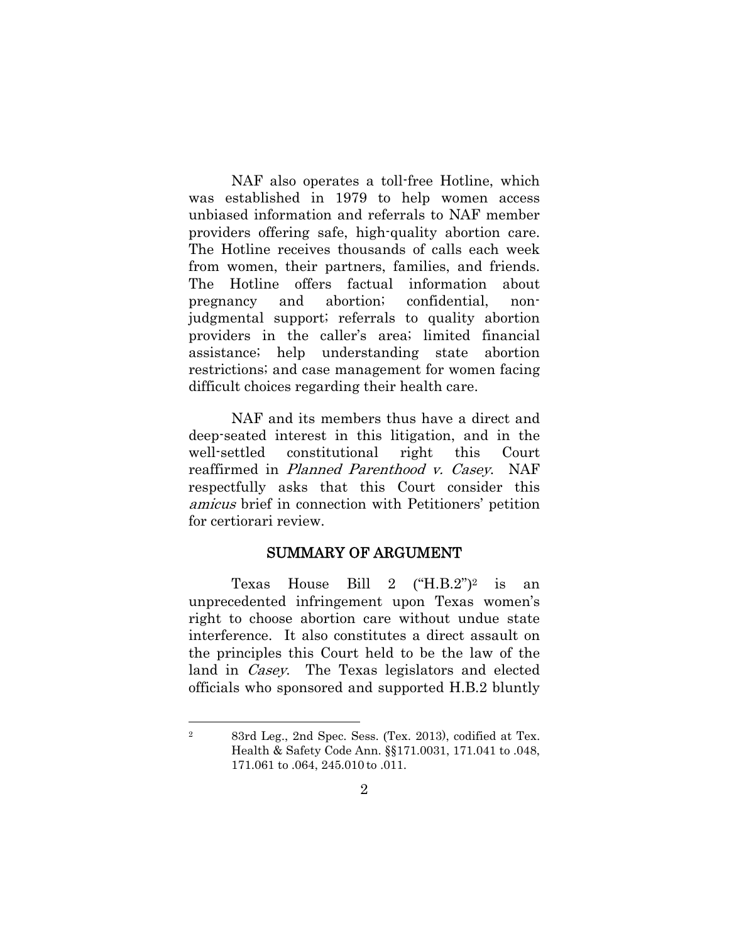NAF also operates a toll-free Hotline, which was established in 1979 to help women access unbiased information and referrals to NAF member providers offering safe, high-quality abortion care. The Hotline receives thousands of calls each week from women, their partners, families, and friends. The Hotline offers factual information about pregnancy and abortion; confidential, nonjudgmental support; referrals to quality abortion providers in the caller's area; limited financial assistance; help understanding state abortion restrictions; and case management for women facing difficult choices regarding their health care.

NAF and its members thus have a direct and deep-seated interest in this litigation, and in the well-settled constitutional right this Court reaffirmed in Planned Parenthood v. Casey. NAF respectfully asks that this Court consider this amicus brief in connection with Petitioners' petition for certiorari review.

#### SUMMARY OF ARGUMENT

Texas House Bill 2  $(H.B.2<sup>n</sup>)<sup>2</sup>$  is an unprecedented infringement upon Texas women's right to choose abortion care without undue state interference. It also constitutes a direct assault on the principles this Court held to be the law of the land in Casey. The Texas legislators and elected officials who sponsored and supported H.B.2 bluntly

l

<sup>2 83</sup>rd Leg., 2nd Spec. Sess. (Tex. 2013), codified at Tex. Health & Safety Code Ann. §§171.0031, 171.041 to .048, 171.061 to .064, 245.010 to .011.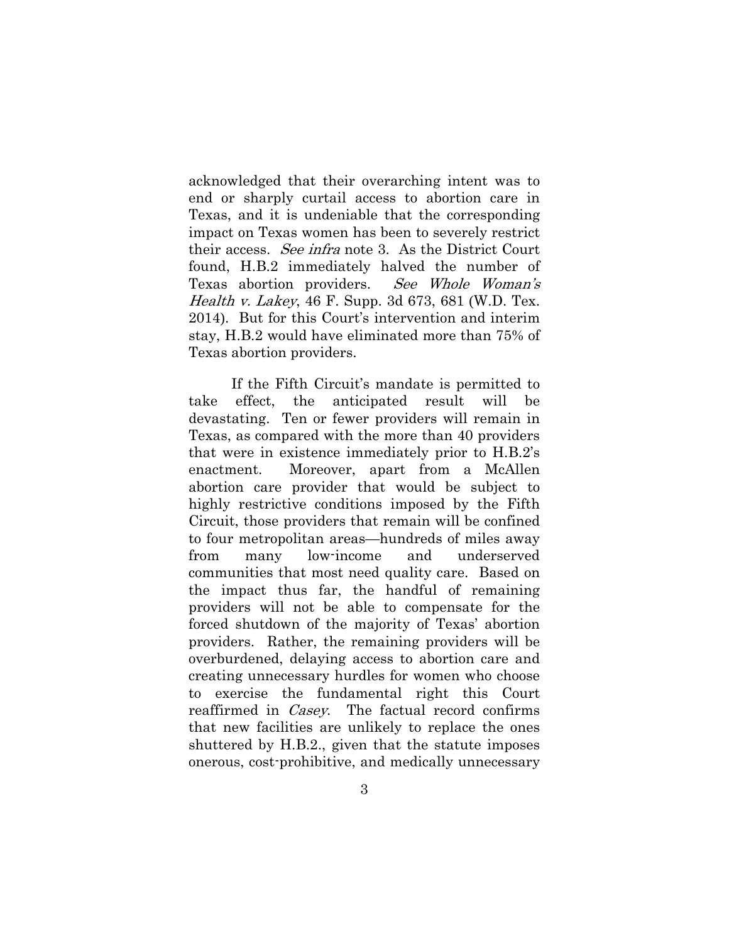acknowledged that their overarching intent was to end or sharply curtail access to abortion care in Texas, and it is undeniable that the corresponding impact on Texas women has been to severely restrict their access. See infra note 3. As the District Court found, H.B.2 immediately halved the number of Texas abortion providers. See Whole Woman's Health v. Lakey, 46 F. Supp. 3d 673, 681 (W.D. Tex. 2014). But for this Court's intervention and interim stay, H.B.2 would have eliminated more than 75% of Texas abortion providers.

If the Fifth Circuit's mandate is permitted to take effect, the anticipated result will be devastating. Ten or fewer providers will remain in Texas, as compared with the more than 40 providers that were in existence immediately prior to H.B.2's enactment. Moreover, apart from a McAllen abortion care provider that would be subject to highly restrictive conditions imposed by the Fifth Circuit, those providers that remain will be confined to four metropolitan areas—hundreds of miles away from many low-income and underserved communities that most need quality care. Based on the impact thus far, the handful of remaining providers will not be able to compensate for the forced shutdown of the majority of Texas' abortion providers. Rather, the remaining providers will be overburdened, delaying access to abortion care and creating unnecessary hurdles for women who choose to exercise the fundamental right this Court reaffirmed in *Casey*. The factual record confirms that new facilities are unlikely to replace the ones shuttered by H.B.2., given that the statute imposes onerous, cost-prohibitive, and medically unnecessary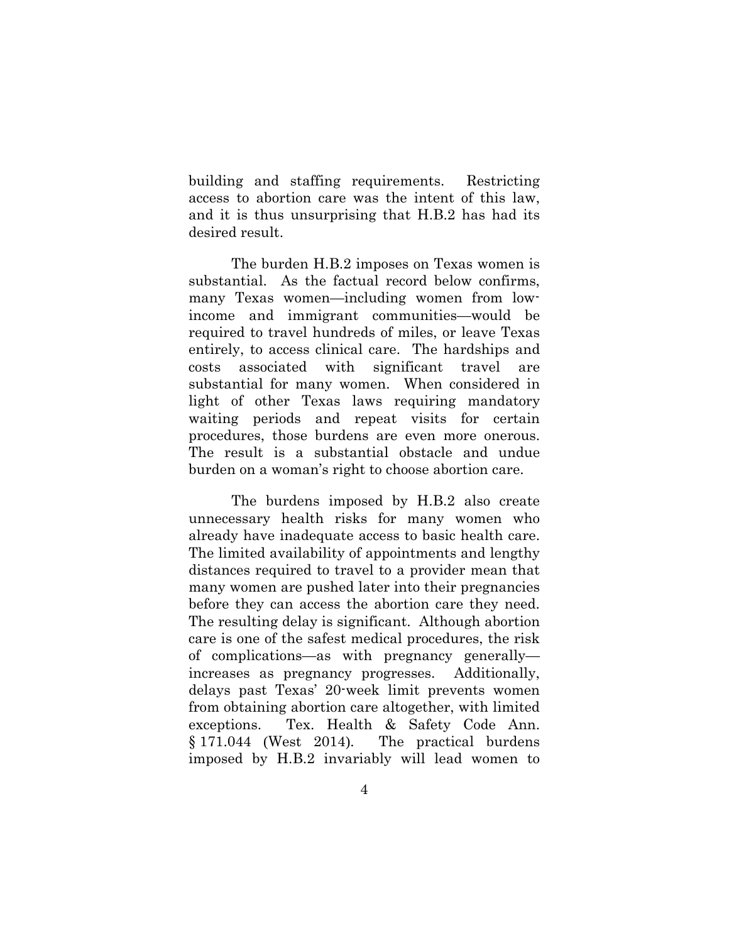building and staffing requirements. Restricting access to abortion care was the intent of this law, and it is thus unsurprising that H.B.2 has had its desired result.

The burden H.B.2 imposes on Texas women is substantial. As the factual record below confirms, many Texas women—including women from lowincome and immigrant communities—would be required to travel hundreds of miles, or leave Texas entirely, to access clinical care. The hardships and costs associated with significant travel are substantial for many women. When considered in light of other Texas laws requiring mandatory waiting periods and repeat visits for certain procedures, those burdens are even more onerous. The result is a substantial obstacle and undue burden on a woman's right to choose abortion care.

The burdens imposed by H.B.2 also create unnecessary health risks for many women who already have inadequate access to basic health care. The limited availability of appointments and lengthy distances required to travel to a provider mean that many women are pushed later into their pregnancies before they can access the abortion care they need. The resulting delay is significant. Although abortion care is one of the safest medical procedures, the risk of complications—as with pregnancy generally increases as pregnancy progresses. Additionally, delays past Texas' 20-week limit prevents women from obtaining abortion care altogether, with limited exceptions. Tex. Health & Safety Code Ann. § 171.044 (West 2014). The practical burdens imposed by H.B.2 invariably will lead women to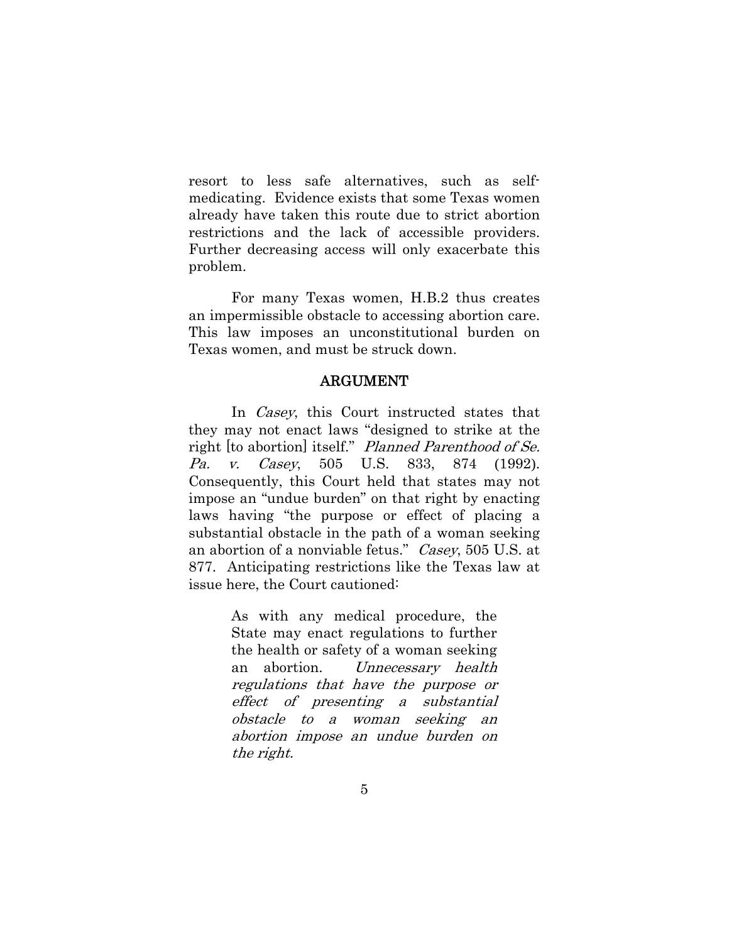resort to less safe alternatives, such as selfmedicating. Evidence exists that some Texas women already have taken this route due to strict abortion restrictions and the lack of accessible providers. Further decreasing access will only exacerbate this problem.

For many Texas women, H.B.2 thus creates an impermissible obstacle to accessing abortion care. This law imposes an unconstitutional burden on Texas women, and must be struck down.

#### ARGUMENT

In *Casey*, this Court instructed states that they may not enact laws "designed to strike at the right [to abortion] itself." Planned Parenthood of Se. Pa. v. Casey, 505 U.S. 833, 874 (1992). Consequently, this Court held that states may not impose an "undue burden" on that right by enacting laws having "the purpose or effect of placing a substantial obstacle in the path of a woman seeking an abortion of a nonviable fetus." Casey, 505 U.S. at 877. Anticipating restrictions like the Texas law at issue here, the Court cautioned:

> As with any medical procedure, the State may enact regulations to further the health or safety of a woman seeking an abortion. Unnecessary health regulations that have the purpose or effect of presenting a substantial obstacle to a woman seeking an abortion impose an undue burden on the right.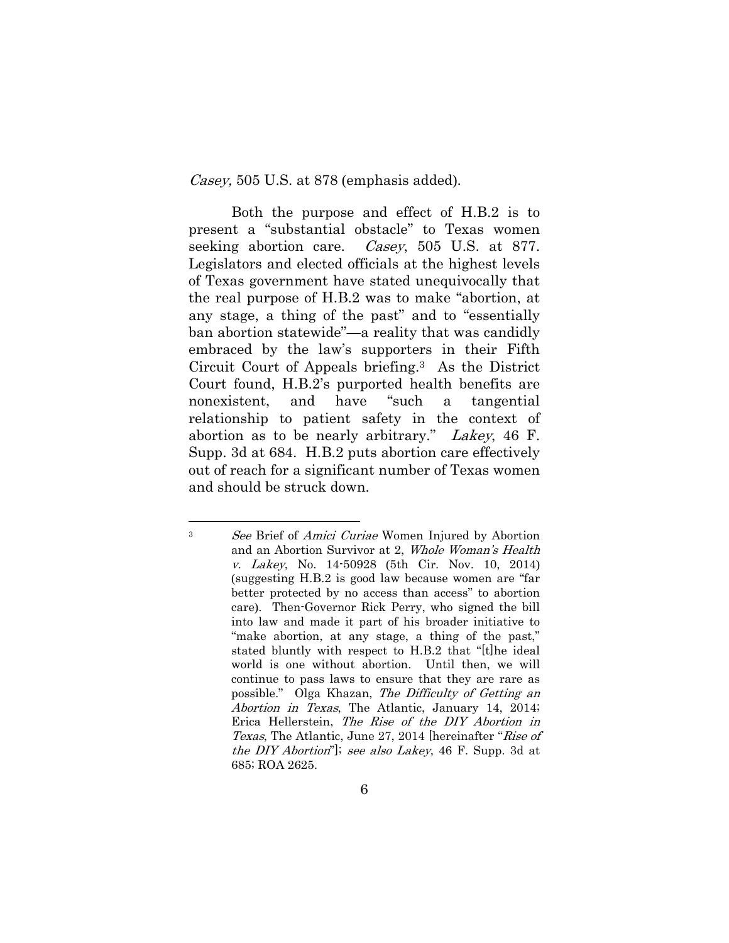Casey, 505 U.S. at 878 (emphasis added).

l

Both the purpose and effect of H.B.2 is to present a "substantial obstacle" to Texas women seeking abortion care. *Casey*, 505 U.S. at 877. Legislators and elected officials at the highest levels of Texas government have stated unequivocally that the real purpose of H.B.2 was to make "abortion, at any stage, a thing of the past" and to "essentially ban abortion statewide"—a reality that was candidly embraced by the law's supporters in their Fifth Circuit Court of Appeals briefing.3 As the District Court found, H.B.2's purported health benefits are nonexistent, and have "such a tangential relationship to patient safety in the context of abortion as to be nearly arbitrary." Lakey, 46 F. Supp. 3d at 684. H.B.2 puts abortion care effectively out of reach for a significant number of Texas women and should be struck down.

<sup>&</sup>lt;sup>3</sup> See Brief of *Amici Curiae* Women Injured by Abortion and an Abortion Survivor at 2, Whole Woman's Health v. Lakey, No. 14-50928 (5th Cir. Nov. 10, 2014) (suggesting H.B.2 is good law because women are "far better protected by no access than access" to abortion care). Then-Governor Rick Perry, who signed the bill into law and made it part of his broader initiative to "make abortion, at any stage, a thing of the past," stated bluntly with respect to H.B.2 that "[t]he ideal world is one without abortion. Until then, we will continue to pass laws to ensure that they are rare as possible." Olga Khazan, The Difficulty of Getting an Abortion in Texas, The Atlantic, January 14, 2014; Erica Hellerstein, The Rise of the DIY Abortion in Texas, The Atlantic, June 27, 2014 [hereinafter "Rise of the DIY Abortion"]; see also Lakey, 46 F. Supp. 3d at 685; ROA 2625.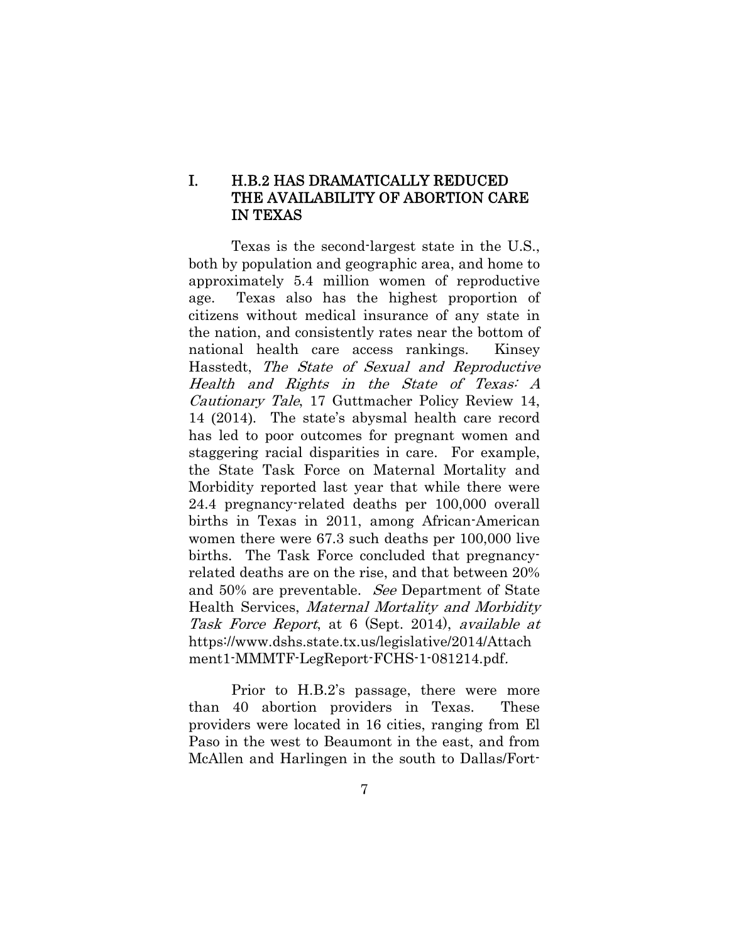### I. H.B.2 HAS DRAMATICALLY REDUCED THE AVAILABILITY OF ABORTION CARE IN TEXAS

Texas is the second-largest state in the U.S., both by population and geographic area, and home to approximately 5.4 million women of reproductive age. Texas also has the highest proportion of citizens without medical insurance of any state in the nation, and consistently rates near the bottom of national health care access rankings. Kinsey Hasstedt, The State of Sexual and Reproductive Health and Rights in the State of Texas: A Cautionary Tale, 17 Guttmacher Policy Review 14, 14 (2014). The state's abysmal health care record has led to poor outcomes for pregnant women and staggering racial disparities in care. For example, the State Task Force on Maternal Mortality and Morbidity reported last year that while there were 24.4 pregnancy-related deaths per 100,000 overall births in Texas in 2011, among African-American women there were 67.3 such deaths per 100,000 live births. The Task Force concluded that pregnancyrelated deaths are on the rise, and that between 20% and 50% are preventable. See Department of State Health Services, Maternal Mortality and Morbidity Task Force Report, at 6 (Sept. 2014), available at https://www.dshs.state.tx.us/legislative/2014/Attach ment1-MMMTF-LegReport-FCHS-1-081214.pdf.

Prior to H.B.2's passage, there were more than 40 abortion providers in Texas. These providers were located in 16 cities, ranging from El Paso in the west to Beaumont in the east, and from McAllen and Harlingen in the south to Dallas/Fort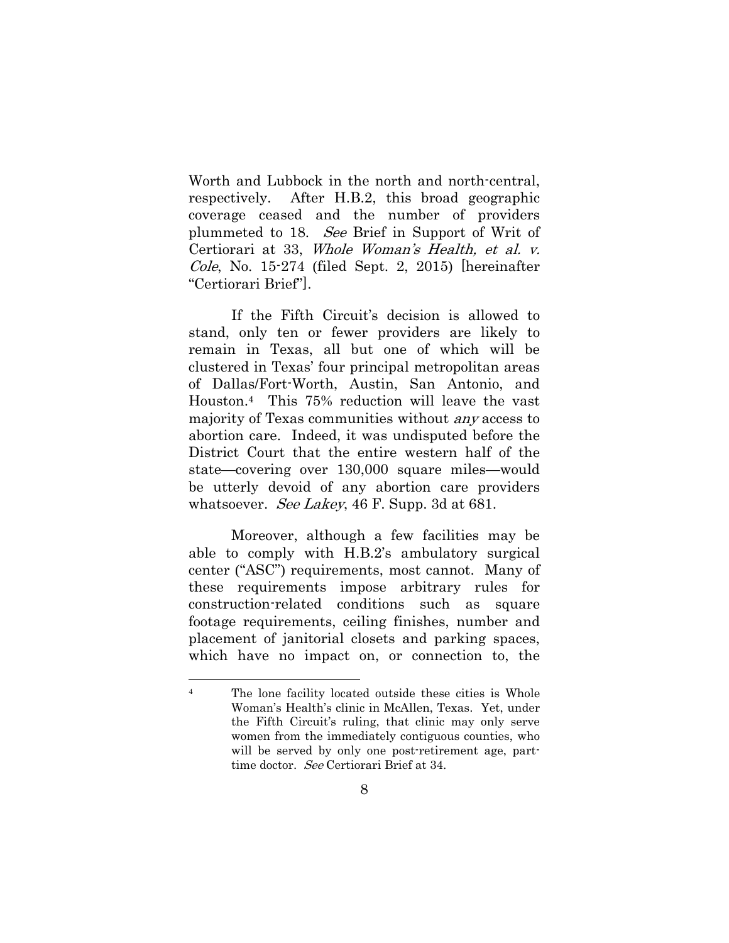Worth and Lubbock in the north and north-central, respectively. After H.B.2, this broad geographic coverage ceased and the number of providers plummeted to 18. See Brief in Support of Writ of Certiorari at 33, Whole Woman's Health, et al. v. Cole, No. 15-274 (filed Sept. 2, 2015) [hereinafter "Certiorari Brief"].

If the Fifth Circuit's decision is allowed to stand, only ten or fewer providers are likely to remain in Texas, all but one of which will be clustered in Texas' four principal metropolitan areas of Dallas/Fort-Worth, Austin, San Antonio, and Houston.4 This 75% reduction will leave the vast majority of Texas communities without any access to abortion care. Indeed, it was undisputed before the District Court that the entire western half of the state—covering over 130,000 square miles—would be utterly devoid of any abortion care providers whatsoever. *See Lakey*, 46 F. Supp. 3d at 681.

Moreover, although a few facilities may be able to comply with H.B.2's ambulatory surgical center ("ASC") requirements, most cannot. Many of these requirements impose arbitrary rules for construction-related conditions such as square footage requirements, ceiling finishes, number and placement of janitorial closets and parking spaces, which have no impact on, or connection to, the

l

<sup>4</sup> The lone facility located outside these cities is Whole Woman's Health's clinic in McAllen, Texas. Yet, under the Fifth Circuit's ruling, that clinic may only serve women from the immediately contiguous counties, who will be served by only one post-retirement age, parttime doctor. See Certiorari Brief at 34.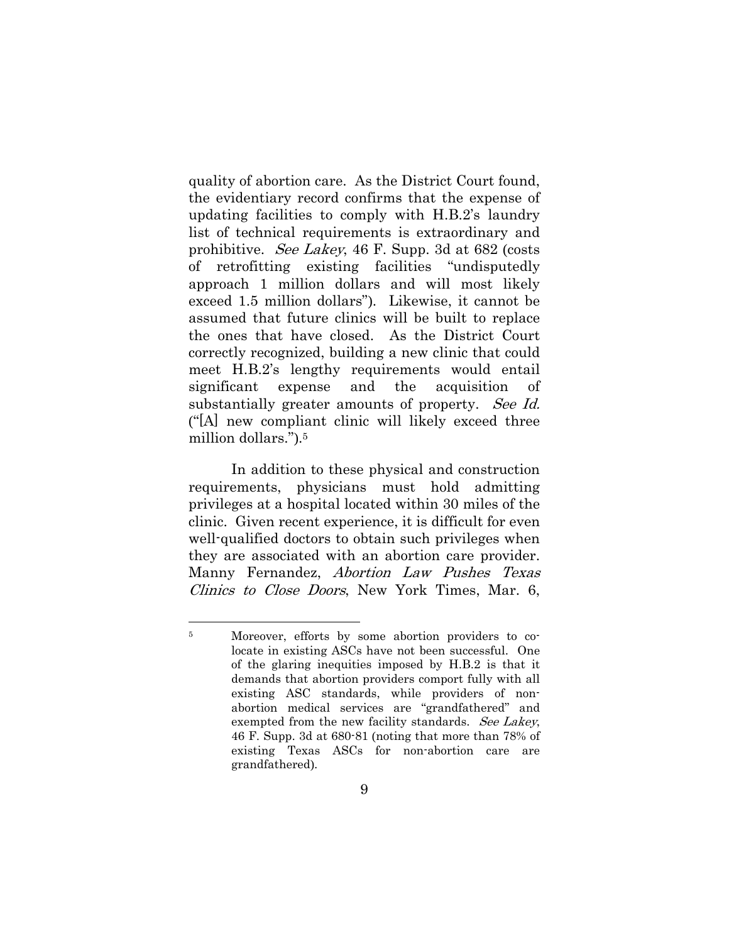quality of abortion care. As the District Court found, the evidentiary record confirms that the expense of updating facilities to comply with H.B.2's laundry list of technical requirements is extraordinary and prohibitive. See Lakey, 46 F. Supp. 3d at 682 (costs of retrofitting existing facilities "undisputedly approach 1 million dollars and will most likely exceed 1.5 million dollars"). Likewise, it cannot be assumed that future clinics will be built to replace the ones that have closed. As the District Court correctly recognized, building a new clinic that could meet H.B.2's lengthy requirements would entail significant expense and the acquisition of substantially greater amounts of property. See Id. ("[A] new compliant clinic will likely exceed three million dollars.").5

In addition to these physical and construction requirements, physicians must hold admitting privileges at a hospital located within 30 miles of the clinic. Given recent experience, it is difficult for even well-qualified doctors to obtain such privileges when they are associated with an abortion care provider. Manny Fernandez, Abortion Law Pushes Texas Clinics to Close Doors, New York Times, Mar. 6,

l

<sup>5</sup> Moreover, efforts by some abortion providers to colocate in existing ASCs have not been successful. One of the glaring inequities imposed by H.B.2 is that it demands that abortion providers comport fully with all existing ASC standards, while providers of nonabortion medical services are "grandfathered" and exempted from the new facility standards. See Lakey, 46 F. Supp. 3d at 680-81 (noting that more than 78% of existing Texas ASCs for non-abortion care are grandfathered).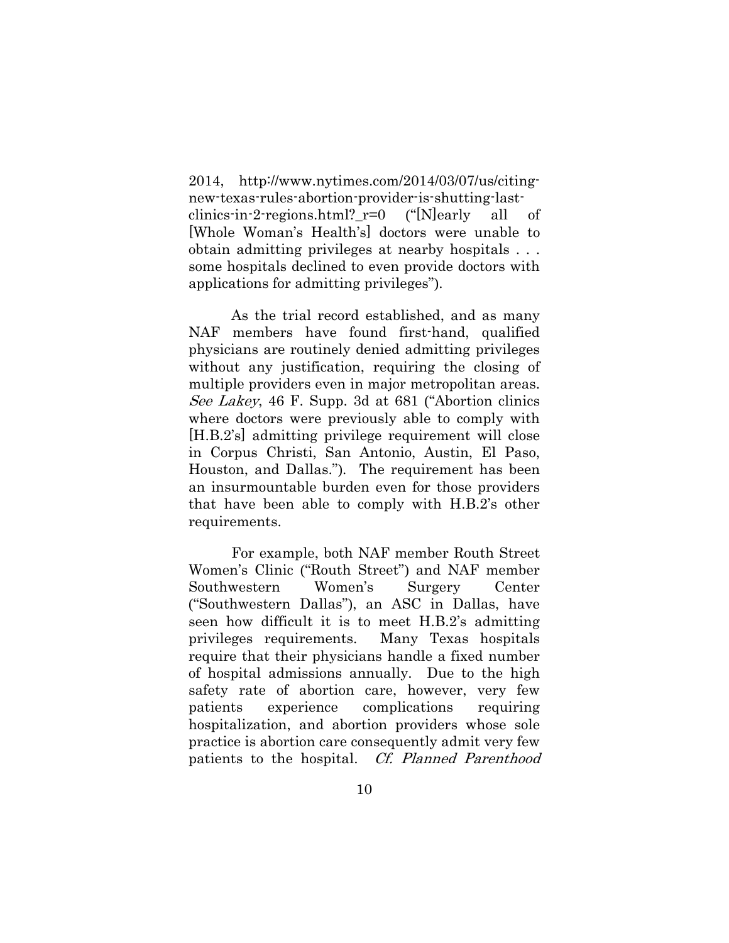2014, http://www.nytimes.com/2014/03/07/us/citingnew-texas-rules-abortion-provider-is-shutting-lastclinics-in-2-regions.html?  $r=0$  ("[N]early all of [Whole Woman's Health's] doctors were unable to obtain admitting privileges at nearby hospitals . . . some hospitals declined to even provide doctors with applications for admitting privileges").

As the trial record established, and as many NAF members have found first-hand, qualified physicians are routinely denied admitting privileges without any justification, requiring the closing of multiple providers even in major metropolitan areas. See Lakey, 46 F. Supp. 3d at 681 ("Abortion clinics where doctors were previously able to comply with [H.B.2's] admitting privilege requirement will close in Corpus Christi, San Antonio, Austin, El Paso, Houston, and Dallas."). The requirement has been an insurmountable burden even for those providers that have been able to comply with H.B.2's other requirements.

For example, both NAF member Routh Street Women's Clinic ("Routh Street") and NAF member Southwestern Women's Surgery Center ("Southwestern Dallas"), an ASC in Dallas, have seen how difficult it is to meet H.B.2's admitting privileges requirements. Many Texas hospitals require that their physicians handle a fixed number of hospital admissions annually. Due to the high safety rate of abortion care, however, very few patients experience complications requiring hospitalization, and abortion providers whose sole practice is abortion care consequently admit very few patients to the hospital. Cf. Planned Parenthood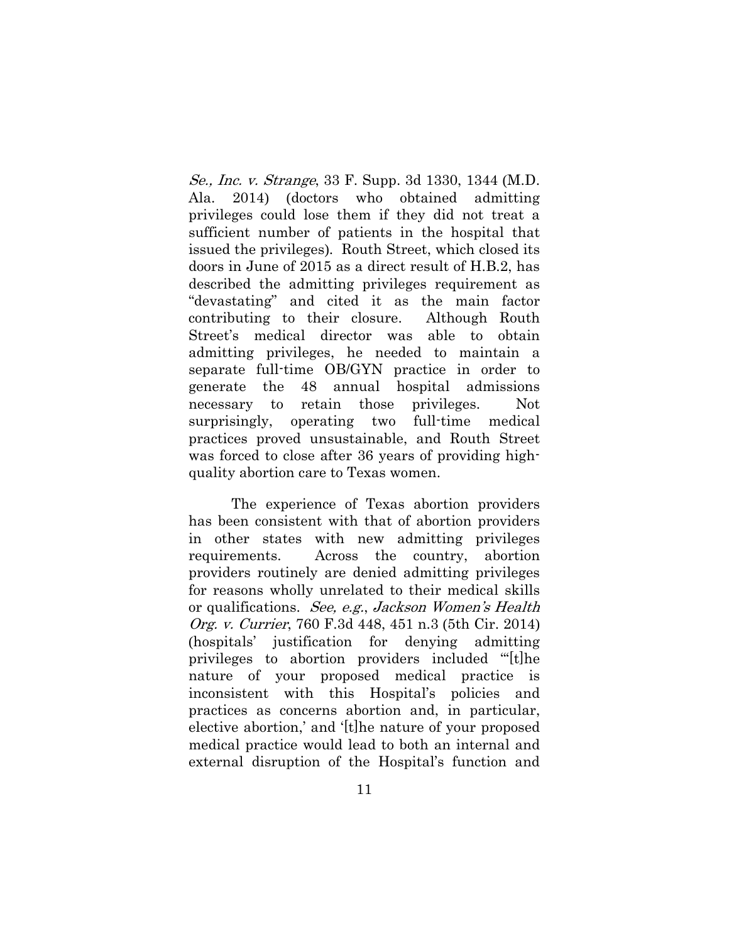Se., Inc. v. Strange, 33 F. Supp. 3d 1330, 1344 (M.D. Ala. 2014) (doctors who obtained admitting privileges could lose them if they did not treat a sufficient number of patients in the hospital that issued the privileges). Routh Street, which closed its doors in June of 2015 as a direct result of H.B.2, has described the admitting privileges requirement as "devastating" and cited it as the main factor contributing to their closure. Although Routh Street's medical director was able to obtain admitting privileges, he needed to maintain a separate full-time OB/GYN practice in order to generate the 48 annual hospital admissions necessary to retain those privileges. Not surprisingly, operating two full-time medical practices proved unsustainable, and Routh Street was forced to close after 36 years of providing highquality abortion care to Texas women.

The experience of Texas abortion providers has been consistent with that of abortion providers in other states with new admitting privileges requirements. Across the country, abortion providers routinely are denied admitting privileges for reasons wholly unrelated to their medical skills or qualifications. See, e.g., Jackson Women's Health Org. v. Currier, 760 F.3d 448, 451 n.3 (5th Cir. 2014) (hospitals' justification for denying admitting privileges to abortion providers included "'[t]he nature of your proposed medical practice is inconsistent with this Hospital's policies and practices as concerns abortion and, in particular, elective abortion,' and '[t]he nature of your proposed medical practice would lead to both an internal and external disruption of the Hospital's function and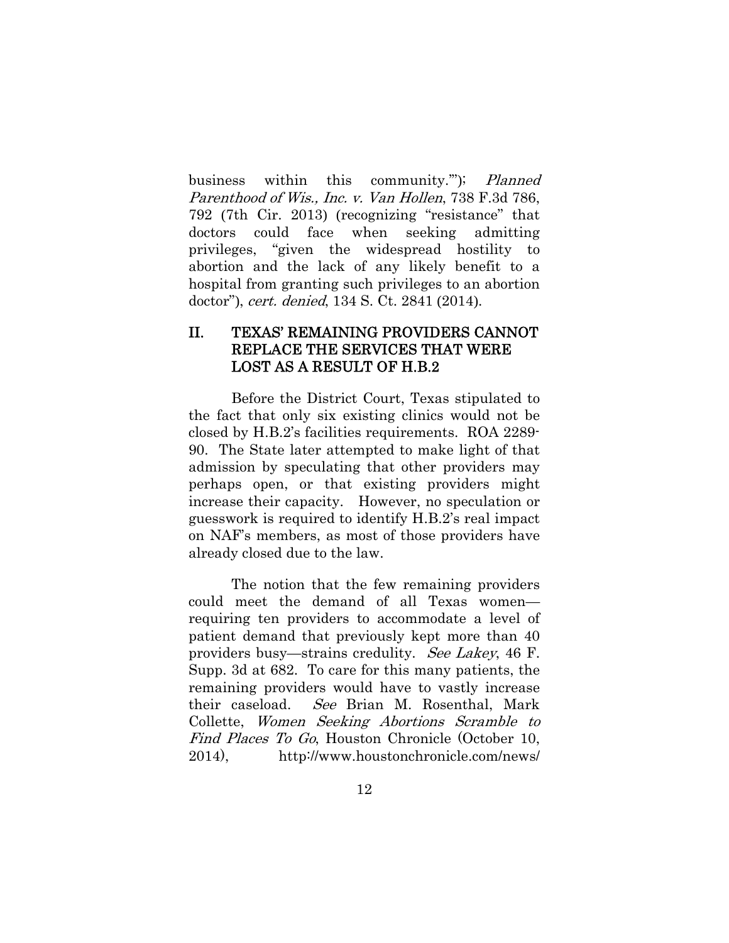business within this community."); Planned Parenthood of Wis., Inc. v. Van Hollen, 738 F.3d 786, 792 (7th Cir. 2013) (recognizing "resistance" that doctors could face when seeking admitting privileges, "given the widespread hostility to abortion and the lack of any likely benefit to a hospital from granting such privileges to an abortion doctor"), cert. denied, 134 S. Ct. 2841 (2014).

#### II. TEXAS' REMAINING PROVIDERS CANNOT REPLACE THE SERVICES THAT WERE LOST AS A RESULT OF H.B.2

Before the District Court, Texas stipulated to the fact that only six existing clinics would not be closed by H.B.2's facilities requirements. ROA 2289- 90. The State later attempted to make light of that admission by speculating that other providers may perhaps open, or that existing providers might increase their capacity. However, no speculation or guesswork is required to identify H.B.2's real impact on NAF's members, as most of those providers have already closed due to the law.

The notion that the few remaining providers could meet the demand of all Texas women requiring ten providers to accommodate a level of patient demand that previously kept more than 40 providers busy—strains credulity. See Lakey, 46 F. Supp. 3d at 682. To care for this many patients, the remaining providers would have to vastly increase their caseload. See Brian M. Rosenthal, Mark Collette, Women Seeking Abortions Scramble to Find Places To Go, Houston Chronicle (October 10, 2014), http://www.houstonchronicle.com/news/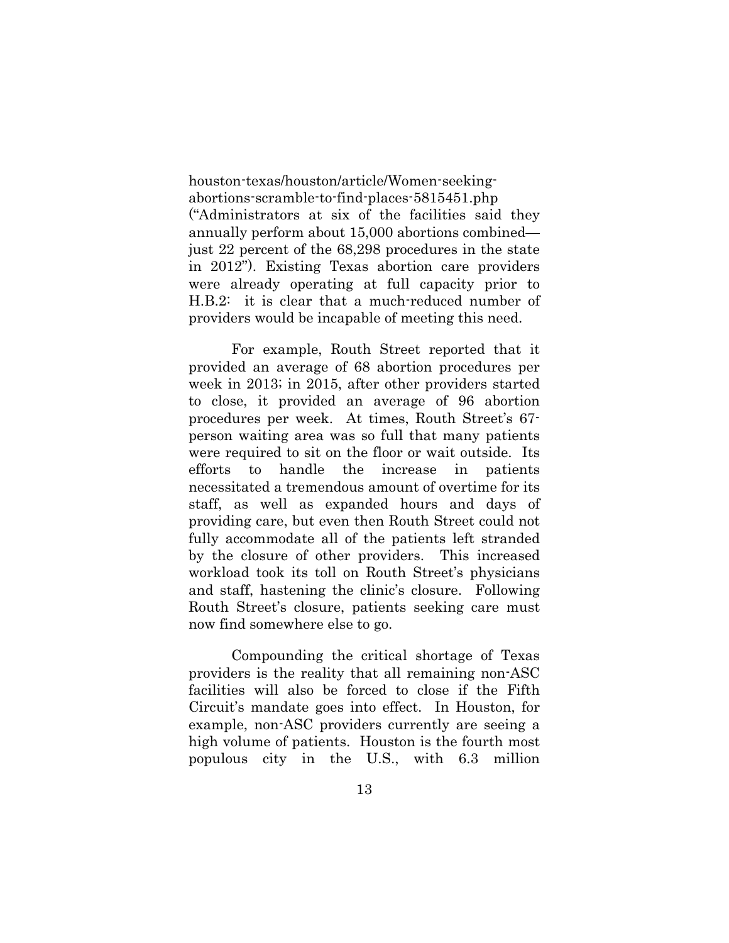houston-texas/houston/article/Women-seekingabortions-scramble-to-find-places-5815451.php ("Administrators at six of the facilities said they annually perform about 15,000 abortions combined just 22 percent of the 68,298 procedures in the state in 2012"). Existing Texas abortion care providers were already operating at full capacity prior to H.B.2: it is clear that a much-reduced number of providers would be incapable of meeting this need.

For example, Routh Street reported that it provided an average of 68 abortion procedures per week in 2013; in 2015, after other providers started to close, it provided an average of 96 abortion procedures per week. At times, Routh Street's 67 person waiting area was so full that many patients were required to sit on the floor or wait outside. Its efforts to handle the increase in patients necessitated a tremendous amount of overtime for its staff, as well as expanded hours and days of providing care, but even then Routh Street could not fully accommodate all of the patients left stranded by the closure of other providers. This increased workload took its toll on Routh Street's physicians and staff, hastening the clinic's closure. Following Routh Street's closure, patients seeking care must now find somewhere else to go.

Compounding the critical shortage of Texas providers is the reality that all remaining non-ASC facilities will also be forced to close if the Fifth Circuit's mandate goes into effect. In Houston, for example, non-ASC providers currently are seeing a high volume of patients. Houston is the fourth most populous city in the U.S., with 6.3 million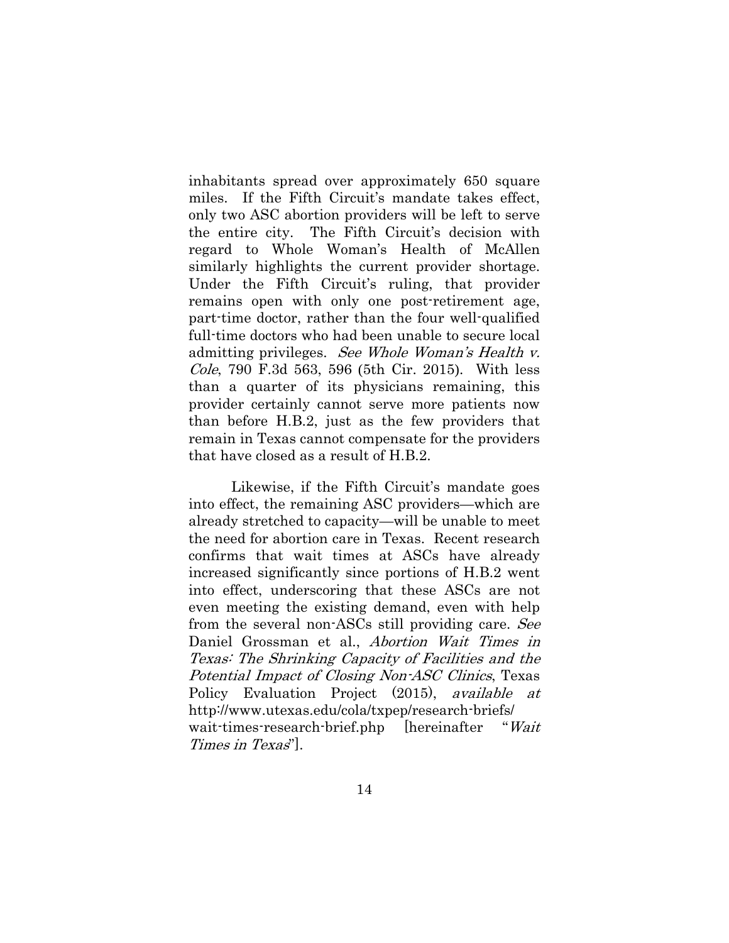inhabitants spread over approximately 650 square miles. If the Fifth Circuit's mandate takes effect, only two ASC abortion providers will be left to serve the entire city. The Fifth Circuit's decision with regard to Whole Woman's Health of McAllen similarly highlights the current provider shortage. Under the Fifth Circuit's ruling, that provider remains open with only one post-retirement age, part-time doctor, rather than the four well-qualified full-time doctors who had been unable to secure local admitting privileges. See Whole Woman's Health v. Cole, 790 F.3d 563, 596 (5th Cir. 2015). With less than a quarter of its physicians remaining, this provider certainly cannot serve more patients now than before H.B.2, just as the few providers that remain in Texas cannot compensate for the providers that have closed as a result of H.B.2.

Likewise, if the Fifth Circuit's mandate goes into effect, the remaining ASC providers—which are already stretched to capacity—will be unable to meet the need for abortion care in Texas. Recent research confirms that wait times at ASCs have already increased significantly since portions of H.B.2 went into effect, underscoring that these ASCs are not even meeting the existing demand, even with help from the several non-ASCs still providing care. See Daniel Grossman et al., Abortion Wait Times in Texas: The Shrinking Capacity of Facilities and the Potential Impact of Closing Non-ASC Clinics, Texas Policy Evaluation Project (2015), *available at* http://www.utexas.edu/cola/txpep/research-briefs/ wait-times-research-brief.php [hereinafter "Wait Times in Texas"].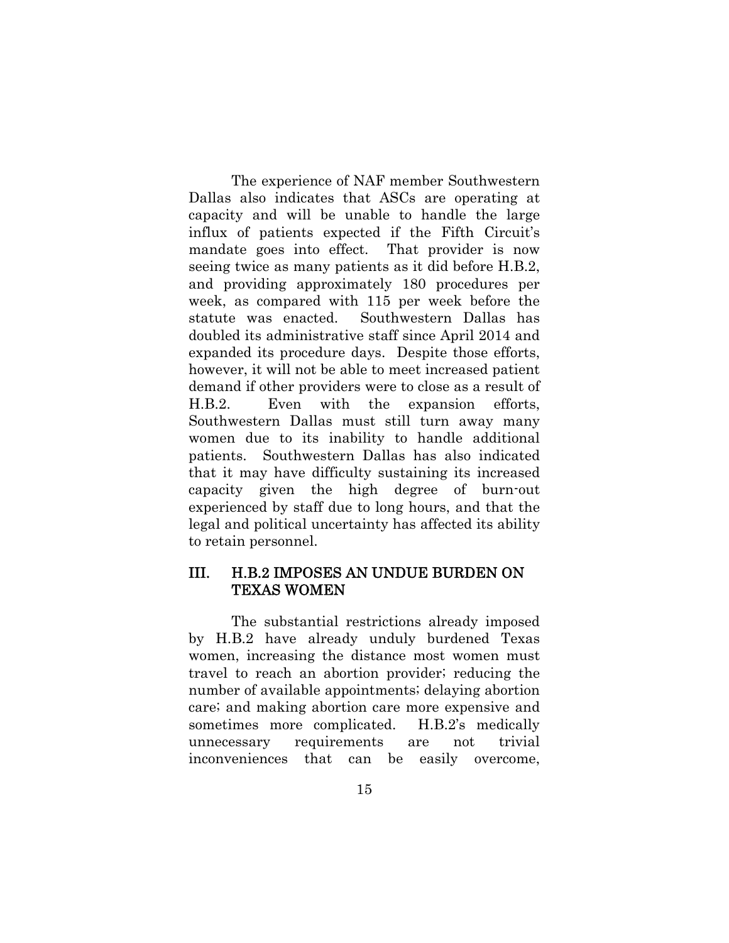The experience of NAF member Southwestern Dallas also indicates that ASCs are operating at capacity and will be unable to handle the large influx of patients expected if the Fifth Circuit's mandate goes into effect. That provider is now seeing twice as many patients as it did before H.B.2, and providing approximately 180 procedures per week, as compared with 115 per week before the statute was enacted. Southwestern Dallas has doubled its administrative staff since April 2014 and expanded its procedure days. Despite those efforts, however, it will not be able to meet increased patient demand if other providers were to close as a result of H.B.2. Even with the expansion efforts, Southwestern Dallas must still turn away many women due to its inability to handle additional patients. Southwestern Dallas has also indicated that it may have difficulty sustaining its increased capacity given the high degree of burn-out experienced by staff due to long hours, and that the legal and political uncertainty has affected its ability to retain personnel.

#### III. H.B.2 IMPOSES AN UNDUE BURDEN ON TEXAS WOMEN

The substantial restrictions already imposed by H.B.2 have already unduly burdened Texas women, increasing the distance most women must travel to reach an abortion provider; reducing the number of available appointments; delaying abortion care; and making abortion care more expensive and sometimes more complicated. H.B.2's medically unnecessary requirements are not trivial inconveniences that can be easily overcome,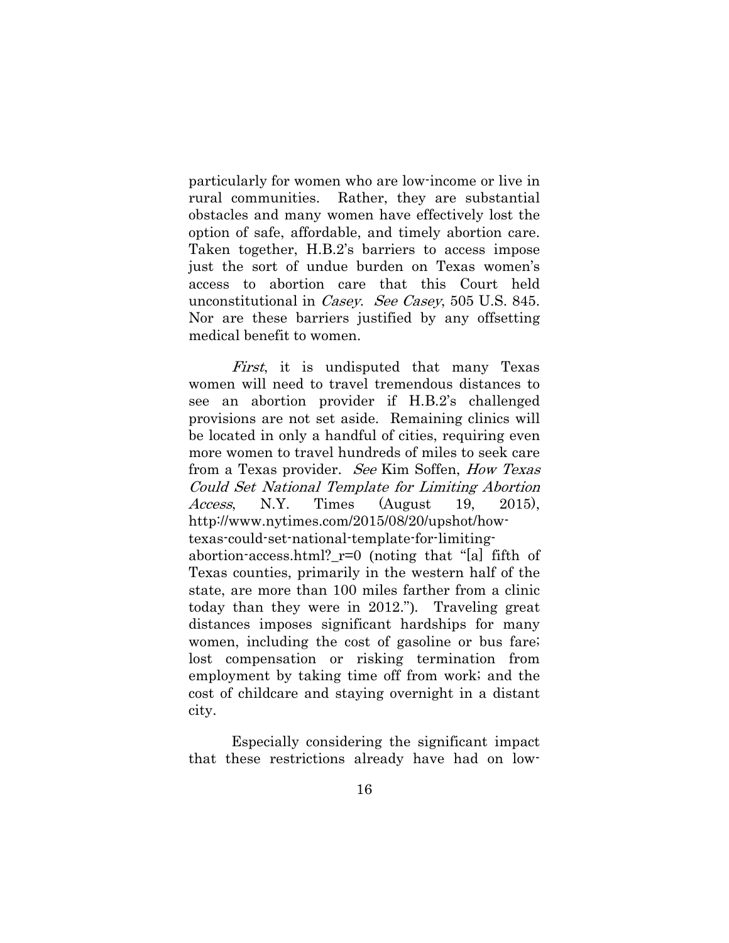particularly for women who are low-income or live in rural communities. Rather, they are substantial obstacles and many women have effectively lost the option of safe, affordable, and timely abortion care. Taken together, H.B.2's barriers to access impose just the sort of undue burden on Texas women's access to abortion care that this Court held unconstitutional in Casey. See Casey, 505 U.S. 845. Nor are these barriers justified by any offsetting medical benefit to women.

First, it is undisputed that many Texas women will need to travel tremendous distances to see an abortion provider if H.B.2's challenged provisions are not set aside. Remaining clinics will be located in only a handful of cities, requiring even more women to travel hundreds of miles to seek care from a Texas provider. See Kim Soffen, How Texas Could Set National Template for Limiting Abortion Access, N.Y. Times (August 19, 2015), http://www.nytimes.com/2015/08/20/upshot/howtexas-could-set-national-template-for-limitingabortion-access.html?\_r=0 (noting that "[a] fifth of Texas counties, primarily in the western half of the state, are more than 100 miles farther from a clinic today than they were in 2012."). Traveling great distances imposes significant hardships for many women, including the cost of gasoline or bus fare; lost compensation or risking termination from employment by taking time off from work; and the cost of childcare and staying overnight in a distant city.

Especially considering the significant impact that these restrictions already have had on low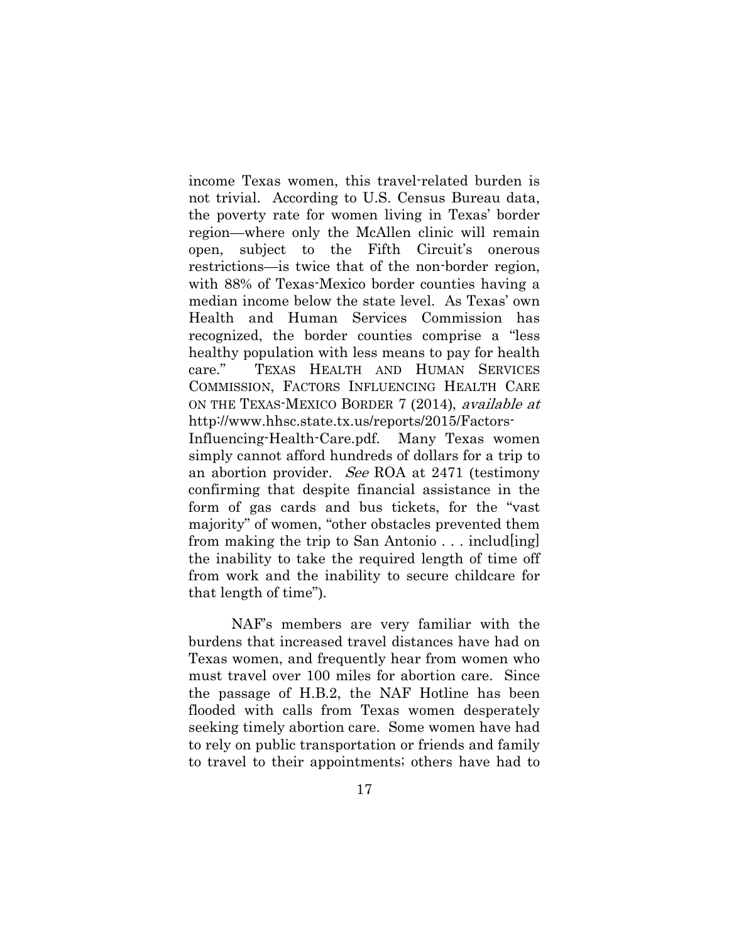income Texas women, this travel-related burden is not trivial. According to U.S. Census Bureau data, the poverty rate for women living in Texas' border region—where only the McAllen clinic will remain open, subject to the Fifth Circuit's onerous restrictions—is twice that of the non-border region, with 88% of Texas-Mexico border counties having a median income below the state level. As Texas' own Health and Human Services Commission has recognized, the border counties comprise a "less healthy population with less means to pay for health care." TEXAS HEALTH AND HUMAN SERVICES COMMISSION, FACTORS INFLUENCING HEALTH CARE ON THE TEXAS-MEXICO BORDER 7 (2014), available at http://www.hhsc.state.tx.us/reports/2015/Factors-Influencing-Health-Care.pdf. Many Texas women simply cannot afford hundreds of dollars for a trip to an abortion provider. See ROA at 2471 (testimony confirming that despite financial assistance in the form of gas cards and bus tickets, for the "vast majority" of women, "other obstacles prevented them from making the trip to San Antonio . . . includ[ing] the inability to take the required length of time off from work and the inability to secure childcare for that length of time").

NAF's members are very familiar with the burdens that increased travel distances have had on Texas women, and frequently hear from women who must travel over 100 miles for abortion care. Since the passage of H.B.2, the NAF Hotline has been flooded with calls from Texas women desperately seeking timely abortion care. Some women have had to rely on public transportation or friends and family to travel to their appointments; others have had to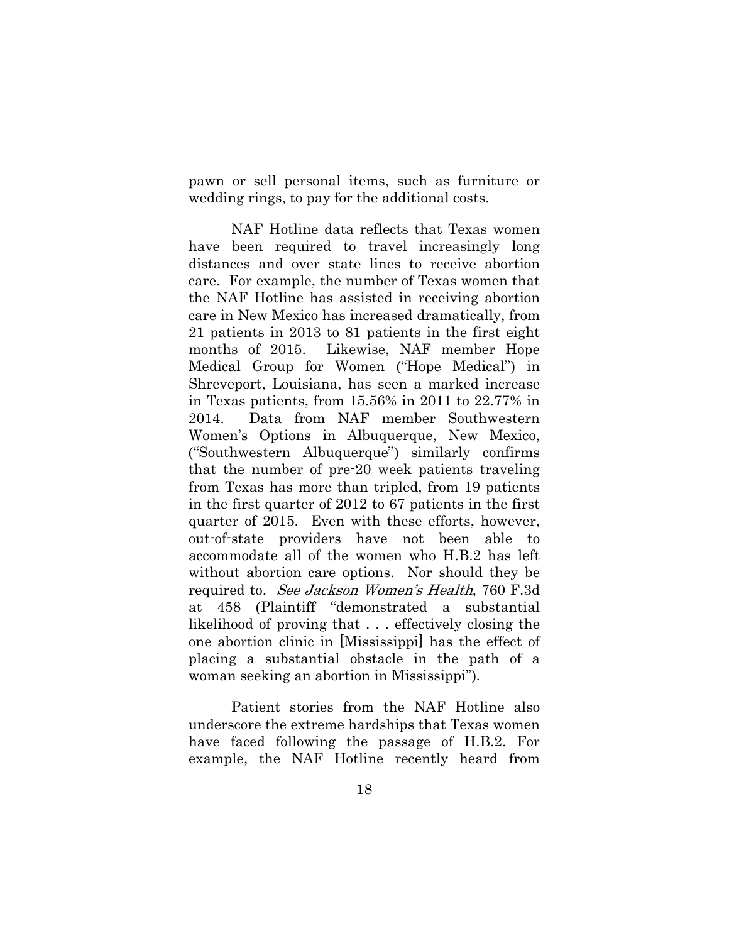pawn or sell personal items, such as furniture or wedding rings, to pay for the additional costs.

NAF Hotline data reflects that Texas women have been required to travel increasingly long distances and over state lines to receive abortion care. For example, the number of Texas women that the NAF Hotline has assisted in receiving abortion care in New Mexico has increased dramatically, from 21 patients in 2013 to 81 patients in the first eight months of 2015. Likewise, NAF member Hope Medical Group for Women ("Hope Medical") in Shreveport, Louisiana, has seen a marked increase in Texas patients, from 15.56% in 2011 to 22.77% in 2014. Data from NAF member Southwestern Women's Options in Albuquerque, New Mexico, ("Southwestern Albuquerque") similarly confirms that the number of pre-20 week patients traveling from Texas has more than tripled, from 19 patients in the first quarter of 2012 to 67 patients in the first quarter of 2015. Even with these efforts, however, out-of-state providers have not been able to accommodate all of the women who H.B.2 has left without abortion care options. Nor should they be required to. See Jackson Women's Health, 760 F.3d at 458 (Plaintiff "demonstrated a substantial likelihood of proving that . . . effectively closing the one abortion clinic in [Mississippi] has the effect of placing a substantial obstacle in the path of a woman seeking an abortion in Mississippi").

Patient stories from the NAF Hotline also underscore the extreme hardships that Texas women have faced following the passage of H.B.2. For example, the NAF Hotline recently heard from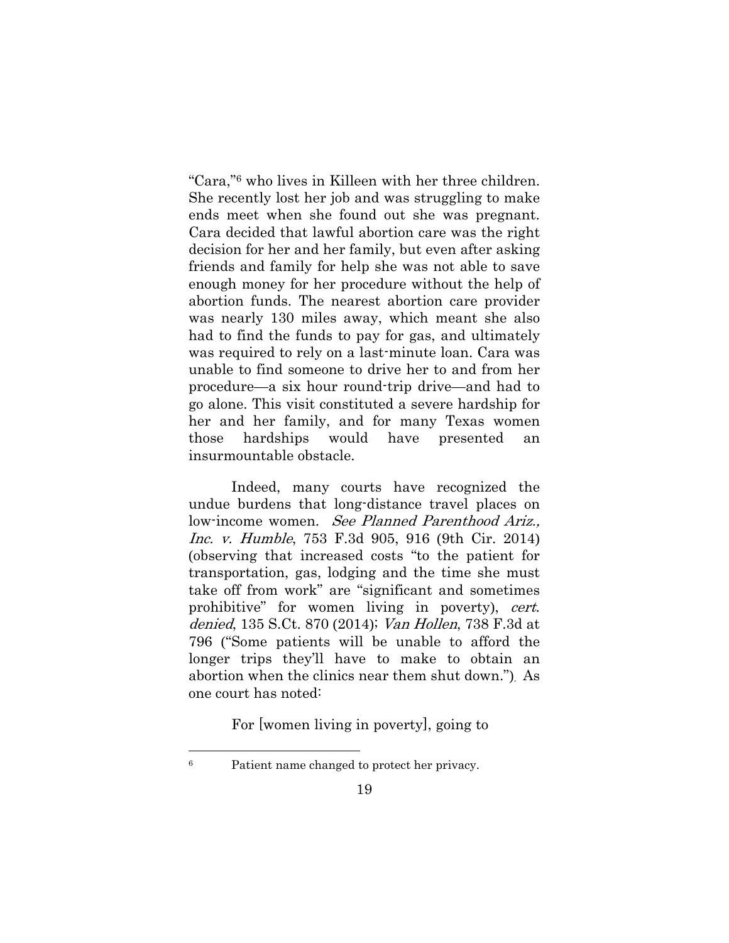"Cara,"6 who lives in Killeen with her three children. She recently lost her job and was struggling to make ends meet when she found out she was pregnant. Cara decided that lawful abortion care was the right decision for her and her family, but even after asking friends and family for help she was not able to save enough money for her procedure without the help of abortion funds. The nearest abortion care provider was nearly 130 miles away, which meant she also had to find the funds to pay for gas, and ultimately was required to rely on a last-minute loan. Cara was unable to find someone to drive her to and from her procedure—a six hour round-trip drive—and had to go alone. This visit constituted a severe hardship for her and her family, and for many Texas women those hardships would have presented an insurmountable obstacle.

Indeed, many courts have recognized the undue burdens that long-distance travel places on low-income women. See Planned Parenthood Ariz., Inc. v. Humble, 753 F.3d 905, 916 (9th Cir. 2014) (observing that increased costs "to the patient for transportation, gas, lodging and the time she must take off from work" are "significant and sometimes prohibitive" for women living in poverty), cert. denied, 135 S.Ct. 870 (2014); Van Hollen, 738 F.3d at 796 ("Some patients will be unable to afford the longer trips they'll have to make to obtain an abortion when the clinics near them shut down."). As one court has noted:

For [women living in poverty], going to

l

<sup>6</sup> Patient name changed to protect her privacy.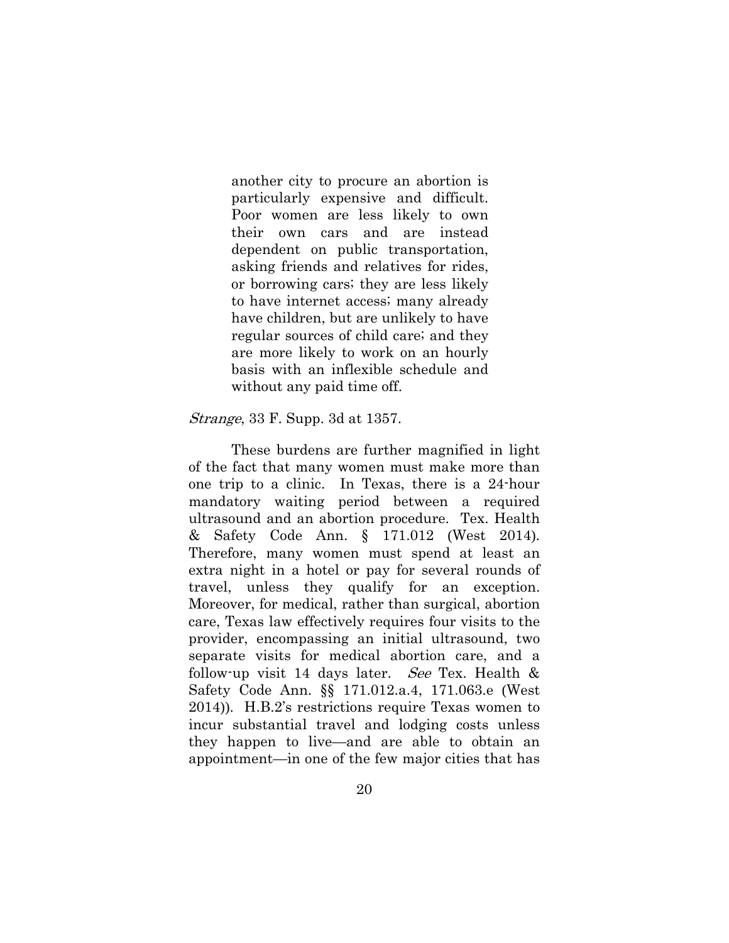another city to procure an abortion is particularly expensive and difficult. Poor women are less likely to own their own cars and are instead dependent on public transportation, asking friends and relatives for rides, or borrowing cars; they are less likely to have internet access; many already have children, but are unlikely to have regular sources of child care; and they are more likely to work on an hourly basis with an inflexible schedule and without any paid time off.

#### Strange, 33 F. Supp. 3d at 1357.

These burdens are further magnified in light of the fact that many women must make more than one trip to a clinic. In Texas, there is a 24-hour mandatory waiting period between a required ultrasound and an abortion procedure. Tex. Health & Safety Code Ann. § 171.012 (West 2014). Therefore, many women must spend at least an extra night in a hotel or pay for several rounds of travel, unless they qualify for an exception. Moreover, for medical, rather than surgical, abortion care, Texas law effectively requires four visits to the provider, encompassing an initial ultrasound, two separate visits for medical abortion care, and a follow-up visit 14 days later. See Tex. Health  $\&$ Safety Code Ann. §§ 171.012.a.4, 171.063.e (West 2014)). H.B.2's restrictions require Texas women to incur substantial travel and lodging costs unless they happen to live—and are able to obtain an appointment—in one of the few major cities that has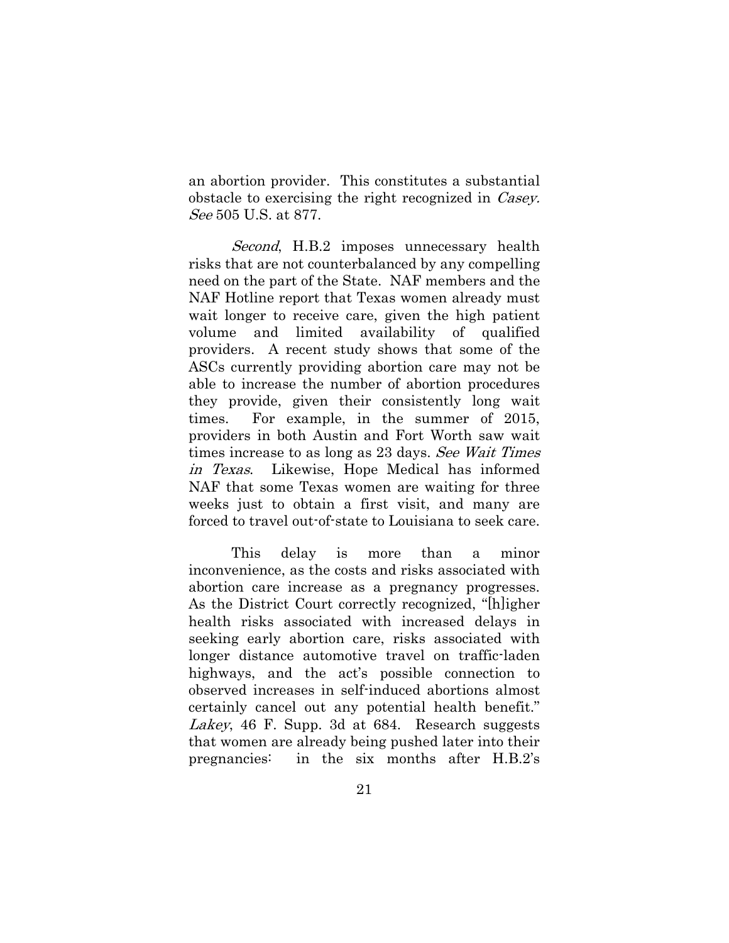an abortion provider. This constitutes a substantial obstacle to exercising the right recognized in *Casey*. See 505 U.S. at 877.

Second, H.B.2 imposes unnecessary health risks that are not counterbalanced by any compelling need on the part of the State. NAF members and the NAF Hotline report that Texas women already must wait longer to receive care, given the high patient volume and limited availability of qualified providers. A recent study shows that some of the ASCs currently providing abortion care may not be able to increase the number of abortion procedures they provide, given their consistently long wait times. For example, in the summer of 2015, providers in both Austin and Fort Worth saw wait times increase to as long as 23 days. See Wait Times in Texas. Likewise, Hope Medical has informed NAF that some Texas women are waiting for three weeks just to obtain a first visit, and many are forced to travel out-of-state to Louisiana to seek care.

This delay is more than a minor inconvenience, as the costs and risks associated with abortion care increase as a pregnancy progresses. As the District Court correctly recognized, "[h]igher health risks associated with increased delays in seeking early abortion care, risks associated with longer distance automotive travel on traffic-laden highways, and the act's possible connection to observed increases in self-induced abortions almost certainly cancel out any potential health benefit." Lakey, 46 F. Supp. 3d at 684. Research suggests that women are already being pushed later into their pregnancies: in the six months after H.B.2's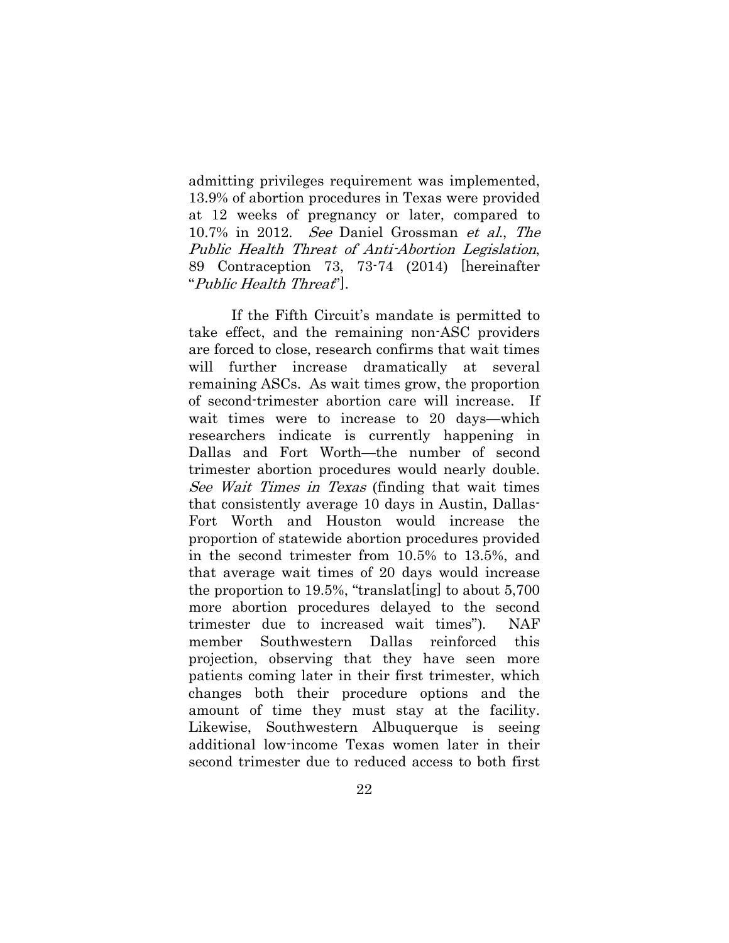admitting privileges requirement was implemented, 13.9% of abortion procedures in Texas were provided at 12 weeks of pregnancy or later, compared to 10.7% in 2012. See Daniel Grossman et al., The Public Health Threat of Anti-Abortion Legislation, 89 Contraception 73, 73-74 (2014) [hereinafter "Public Health Threat"].

If the Fifth Circuit's mandate is permitted to take effect, and the remaining non-ASC providers are forced to close, research confirms that wait times will further increase dramatically at several remaining ASCs. As wait times grow, the proportion of second-trimester abortion care will increase. If wait times were to increase to 20 days—which researchers indicate is currently happening in Dallas and Fort Worth—the number of second trimester abortion procedures would nearly double. See Wait Times in Texas (finding that wait times that consistently average 10 days in Austin, Dallas-Fort Worth and Houston would increase the proportion of statewide abortion procedures provided in the second trimester from 10.5% to 13.5%, and that average wait times of 20 days would increase the proportion to 19.5%, "translat[ing] to about 5,700 more abortion procedures delayed to the second trimester due to increased wait times"). NAF member Southwestern Dallas reinforced this projection, observing that they have seen more patients coming later in their first trimester, which changes both their procedure options and the amount of time they must stay at the facility. Likewise, Southwestern Albuquerque is seeing additional low-income Texas women later in their second trimester due to reduced access to both first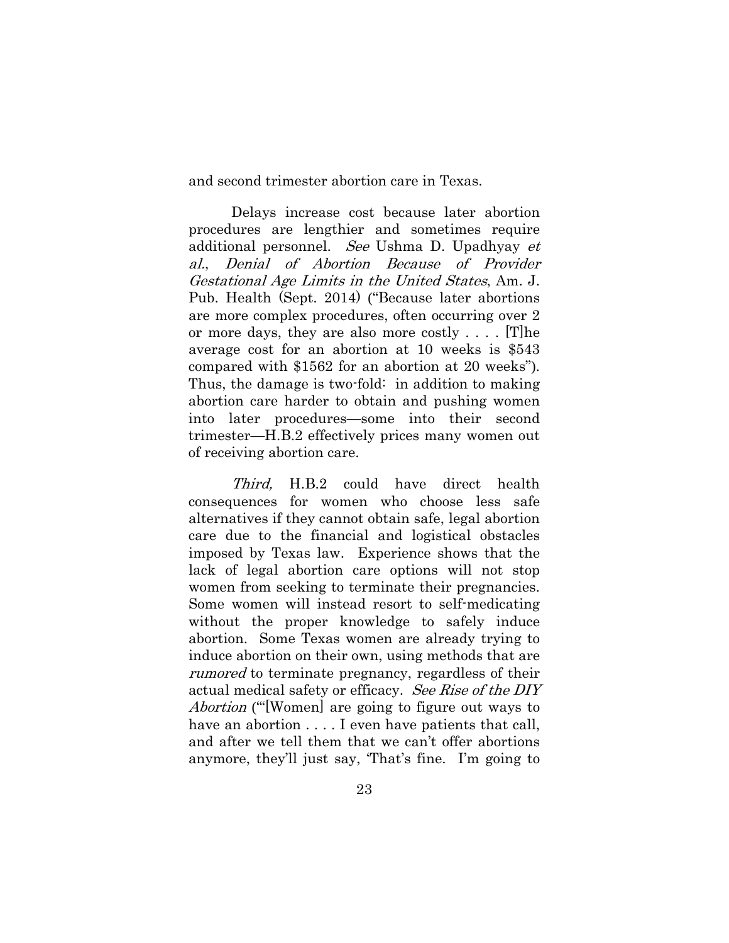and second trimester abortion care in Texas.

Delays increase cost because later abortion procedures are lengthier and sometimes require additional personnel. See Ushma D. Upadhyay et al., Denial of Abortion Because of Provider Gestational Age Limits in the United States, Am. J. Pub. Health (Sept. 2014) ("Because later abortions are more complex procedures, often occurring over 2 or more days, they are also more costly . . . . [T]he average cost for an abortion at 10 weeks is \$543 compared with \$1562 for an abortion at 20 weeks"). Thus, the damage is two-fold: in addition to making abortion care harder to obtain and pushing women into later procedures—some into their second trimester—H.B.2 effectively prices many women out of receiving abortion care.

Third, H.B.2 could have direct health consequences for women who choose less safe alternatives if they cannot obtain safe, legal abortion care due to the financial and logistical obstacles imposed by Texas law. Experience shows that the lack of legal abortion care options will not stop women from seeking to terminate their pregnancies. Some women will instead resort to self-medicating without the proper knowledge to safely induce abortion. Some Texas women are already trying to induce abortion on their own, using methods that are rumored to terminate pregnancy, regardless of their actual medical safety or efficacy. See Rise of the DIY Abortion ("[Women] are going to figure out ways to have an abortion  $\dots$ . I even have patients that call, and after we tell them that we can't offer abortions anymore, they'll just say, 'That's fine. I'm going to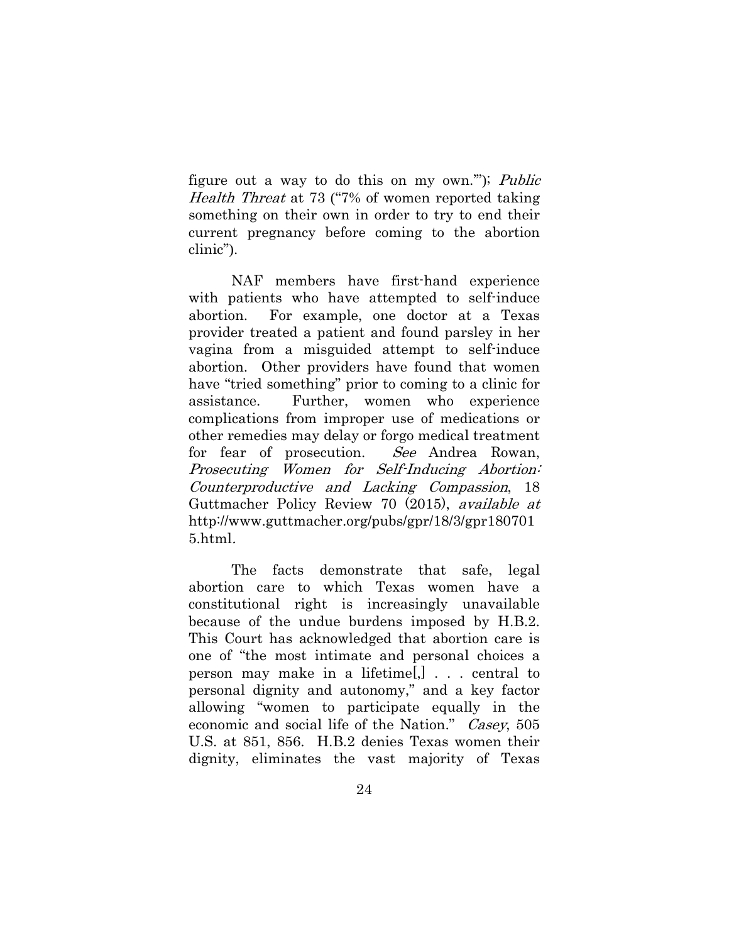figure out a way to do this on my own.'"); Public Health Threat at 73 ("7% of women reported taking something on their own in order to try to end their current pregnancy before coming to the abortion clinic").

NAF members have first-hand experience with patients who have attempted to self-induce abortion. For example, one doctor at a Texas provider treated a patient and found parsley in her vagina from a misguided attempt to self-induce abortion. Other providers have found that women have "tried something" prior to coming to a clinic for assistance. Further, women who experience complications from improper use of medications or other remedies may delay or forgo medical treatment for fear of prosecution. See Andrea Rowan, Prosecuting Women for Self-Inducing Abortion: Counterproductive and Lacking Compassion, 18 Guttmacher Policy Review 70 (2015), available at http://www.guttmacher.org/pubs/gpr/18/3/gpr180701 5.html.

The facts demonstrate that safe, legal abortion care to which Texas women have a constitutional right is increasingly unavailable because of the undue burdens imposed by H.B.2. This Court has acknowledged that abortion care is one of "the most intimate and personal choices a person may make in a lifetime[,] . . . central to personal dignity and autonomy," and a key factor allowing "women to participate equally in the economic and social life of the Nation." Casey, 505 U.S. at 851, 856. H.B.2 denies Texas women their dignity, eliminates the vast majority of Texas